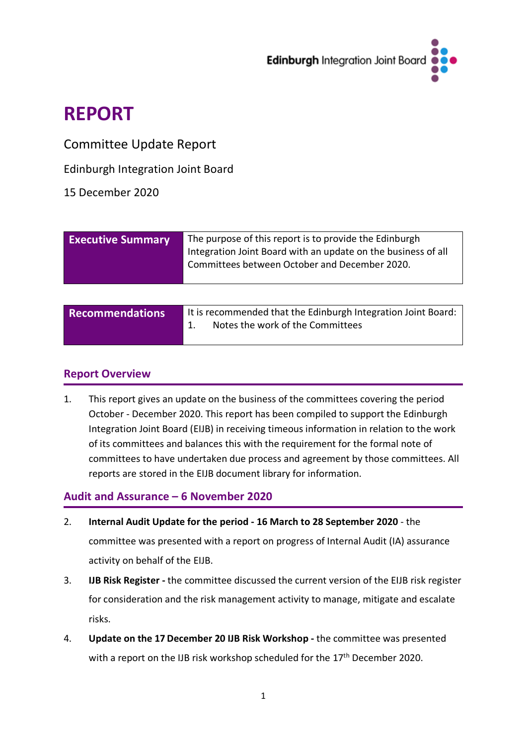

# **REPORT**

# Committee Update Report

Edinburgh Integration Joint Board

15 December 2020

| <b>Executive Summary</b> | The purpose of this report is to provide the Edinburgh<br>Integration Joint Board with an update on the business of all<br>Committees between October and December 2020. |
|--------------------------|--------------------------------------------------------------------------------------------------------------------------------------------------------------------------|
|                          |                                                                                                                                                                          |
| <b>Recommendations</b>   | It is recommended that the Edinburgh Integration Joint Board:<br>Notes the work of the Committees                                                                        |

# **Report Overview**

1. This report gives an update on the business of the committees covering the period October - December 2020. This report has been compiled to support the Edinburgh Integration Joint Board (EIJB) in receiving timeous information in relation to the work of its committees and balances this with the requirement for the formal note of committees to have undertaken due process and agreement by those committees. All reports are stored in the EIJB document library for information.

# **Audit and Assurance – 6 November 2020**

- 2. **Internal Audit Update for the period - 16 March to 28 September 2020**  the committee was presented with a report on progress of Internal Audit (IA) assurance activity on behalf of the EIJB.
- 3. **IJB Risk Register -** the committee discussed the current version of the EIJB risk register for consideration and the risk management activity to manage, mitigate and escalate risks.
- 4. **Update on the 17December 20 IJB Risk Workshop -** the committee was presented with a report on the IJB risk workshop scheduled for the 17<sup>th</sup> December 2020.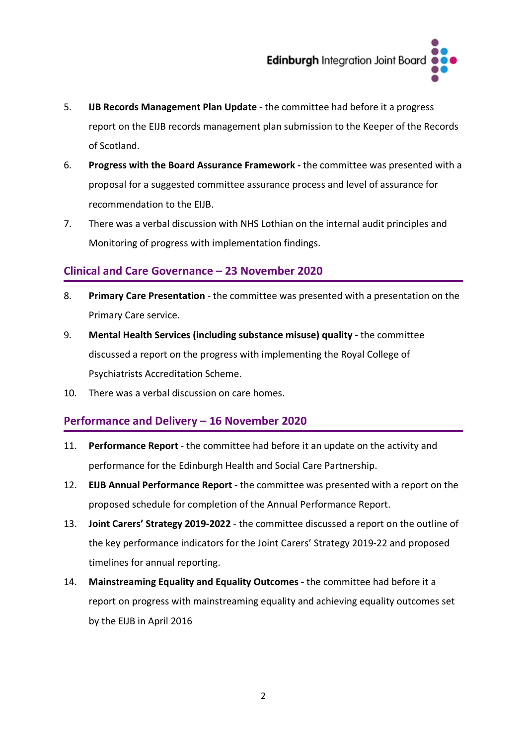

- 5. **IJB Records Management Plan Update -** the committee had before it a progress report on the EIJB records management plan submission to the Keeper of the Records of Scotland.
- 6. **Progress with the Board Assurance Framework -** the committee was presented with a proposal for a suggested committee assurance process and level of assurance for recommendation to the EIJB.
- 7. There was a verbal discussion with NHS Lothian on the internal audit principles and Monitoring of progress with implementation findings.

## **Clinical and Care Governance – 23 November 2020**

- 8. **Primary Care Presentation** the committee was presented with a presentation on the Primary Care service.
- 9. **Mental Health Services (including substance misuse) quality -** the committee discussed a report on the progress with implementing the Royal College of Psychiatrists Accreditation Scheme.
- 10. There was a verbal discussion on care homes.

#### **Performance and Delivery – 16 November 2020**

- 11. **Performance Report** the committee had before it an update on the activity and performance for the Edinburgh Health and Social Care Partnership.
- 12. **EIJB Annual Performance Report** the committee was presented with a report on the proposed schedule for completion of the Annual Performance Report.
- 13. **Joint Carers' Strategy 2019-2022** the committee discussed a report on the outline of the key performance indicators for the Joint Carers' Strategy 2019-22 and proposed timelines for annual reporting.
- 14. **Mainstreaming Equality and Equality Outcomes -** the committee had before it a report on progress with mainstreaming equality and achieving equality outcomes set by the EIJB in April 2016